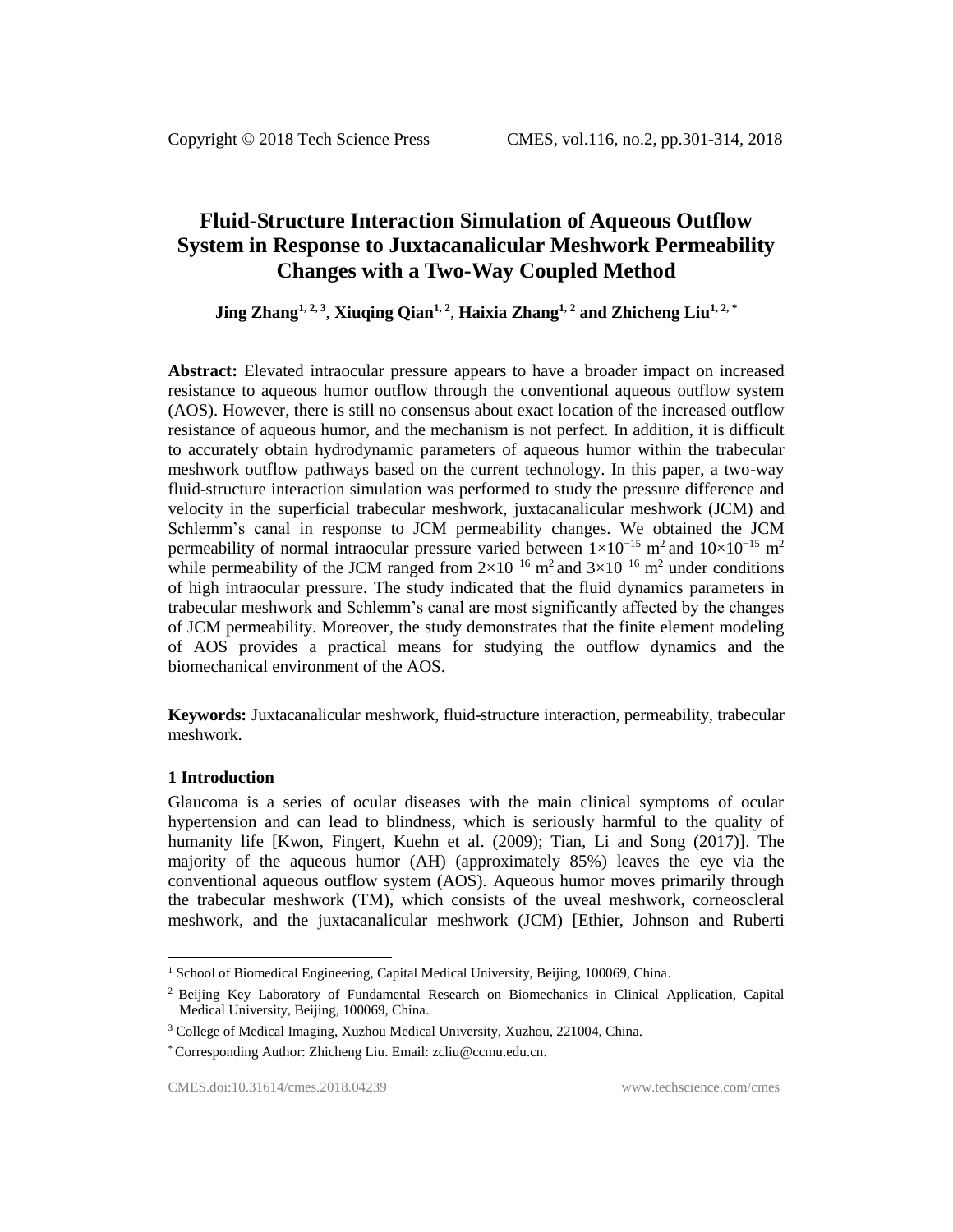# **Fluid-Structure Interaction Simulation of Aqueous Outflow System in Response to Juxtacanalicular Meshwork Permeability Changes with a Two-Way Coupled Method**

**Jing Zhang1, 2, <sup>3</sup>** , **Xiuqing Qian1, <sup>2</sup>** , **Haixia Zhang1, 2 and Zhicheng Liu1, 2, \***

**Abstract:** Elevated intraocular pressure appears to have a broader impact on increased resistance to aqueous humor outflow through the conventional aqueous outflow system (AOS). However, there is still no consensus about exact location of the increased outflow resistance of aqueous humor, and the mechanism is not perfect. In addition, it is difficult to accurately obtain hydrodynamic parameters of aqueous humor within the trabecular meshwork outflow pathways based on the current technology. In this paper, a two-way fluid-structure interaction simulation was performed to study the pressure difference and velocity in the superficial trabecular meshwork, juxtacanalicular meshwork (JCM) and Schlemm's canal in response to JCM permeability changes. We obtained the JCM permeability of normal intraocular pressure varied between  $1\times10^{-15}$  m<sup>2</sup> and  $10\times10^{-15}$  m<sup>2</sup> while permeability of the JCM ranged from  $2\times10^{-16}$  m<sup>2</sup> and  $3\times10^{-16}$  m<sup>2</sup> under conditions of high intraocular pressure. The study indicated that the fluid dynamics parameters in trabecular meshwork and Schlemm's canal are most significantly affected by the changes of JCM permeability. Moreover, the study demonstrates that the finite element modeling of AOS provides a practical means for studying the outflow dynamics and the biomechanical environment of the AOS.

**Keywords:** Juxtacanalicular meshwork, fluid-structure interaction, permeability, trabecular meshwork.

# **1 Introduction**

l

Glaucoma is a series of ocular diseases with the main clinical symptoms of ocular hypertension and can lead to blindness, which is seriously harmful to the quality of humanity life [Kwon, Fingert, Kuehn et al. (2009); Tian, Li and Song (2017)]. The majority of the aqueous humor (AH) (approximately 85%) leaves the eye via the conventional aqueous outflow system (AOS). Aqueous humor moves primarily through the trabecular meshwork (TM), which consists of the uveal meshwork, corneoscleral meshwork, and the juxtacanalicular meshwork (JCM) [Ethier, Johnson and Ruberti

<sup>&</sup>lt;sup>1</sup> School of Biomedical Engineering, Capital Medical University, Beijing, 100069, China.

<sup>2</sup> Beijing Key Laboratory of Fundamental Research on Biomechanics in Clinical Application, Capital Medical University, Beijing, 100069, China.

<sup>3</sup> College of Medical Imaging, Xuzhou Medical University, Xuzhou, 221004, China.

<sup>\*</sup> Corresponding Author: Zhicheng Liu. Email: zcliu@ccmu.edu.cn.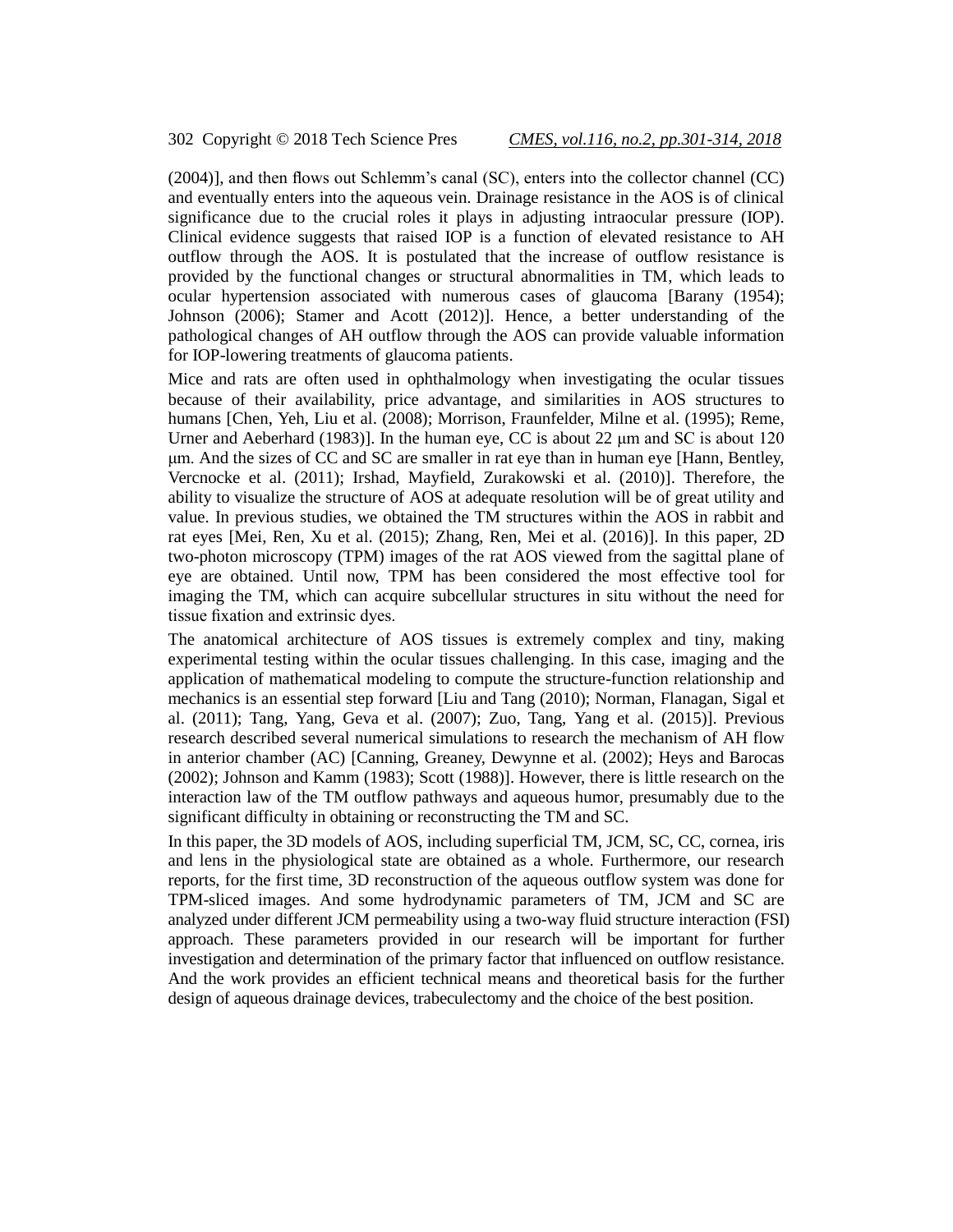(2004)], and then flows out Schlemm's canal (SC), enters into the collector channel (CC) and eventually enters into the aqueous vein. Drainage resistance in the AOS is of clinical significance due to the crucial roles it plays in adjusting intraocular pressure (IOP). Clinical evidence suggests that raised IOP is a function of elevated resistance to AH outflow through the AOS. It is postulated that the increase of outflow resistance is provided by the functional changes or structural abnormalities in TM, which leads to ocular hypertension associated with numerous cases of glaucoma [Barany (1954); Johnson (2006); Stamer and Acott (2012)]. Hence, a better understanding of the pathological changes of AH outflow through the AOS can provide valuable information for IOP-lowering treatments of glaucoma patients.

Mice and rats are often used in ophthalmology when investigating the ocular tissues because of their availability, price advantage, and similarities in AOS structures to humans [Chen, Yeh, Liu et al. (2008); Morrison, Fraunfelder, Milne et al. (1995); Reme, Urner and Aeberhard (1983)]. In the human eye, CC is about 22 μm and SC is about 120 μm. And the sizes of CC and SC are smaller in rat eye than in human eye [Hann, Bentley, Vercnocke et al. (2011); Irshad, Mayfield, Zurakowski et al. (2010)]. Therefore, the ability to visualize the structure of AOS at adequate resolution will be of great utility and value. In previous studies, we obtained the TM structures within the AOS in rabbit and rat eyes [Mei, Ren, Xu et al. (2015); Zhang, Ren, Mei et al. (2016)]. In this paper, 2D two-photon microscopy (TPM) images of the rat AOS viewed from the sagittal plane of eye are obtained. Until now, TPM has been considered the most effective tool for imaging the TM, which can acquire subcellular structures in situ without the need for tissue fixation and extrinsic dyes.

The anatomical architecture of AOS tissues is extremely complex and tiny, making experimental testing within the ocular tissues challenging. In this case, imaging and the application of mathematical modeling to compute the structure-function relationship and mechanics is an essential step forward [Liu and Tang (2010); Norman, Flanagan, Sigal et al. (2011); Tang, Yang, Geva et al. (2007); Zuo, Tang, Yang et al. (2015)]. Previous research described several numerical simulations to research the mechanism of AH flow in anterior chamber (AC) [Canning, Greaney, Dewynne et al. (2002); Heys and Barocas (2002); Johnson and Kamm (1983); Scott (1988)]. However, there is little research on the interaction law of the TM outflow pathways and aqueous humor, presumably due to the significant difficulty in obtaining or reconstructing the TM and SC.

In this paper, the 3D models of AOS, including superficial TM, JCM, SC, CC, cornea, iris and lens in the physiological state are obtained as a whole. Furthermore, our research reports, for the first time, 3D reconstruction of the aqueous outflow system was done for TPM-sliced images. And some hydrodynamic parameters of TM, JCM and SC are analyzed under different JCM permeability using a two-way fluid structure interaction (FSI) approach. These parameters provided in our research will be important for further investigation and determination of the primary factor that influenced on outflow resistance. And the work provides an efficient technical means and theoretical basis for the further design of aqueous drainage devices, trabeculectomy and the choice of the best position.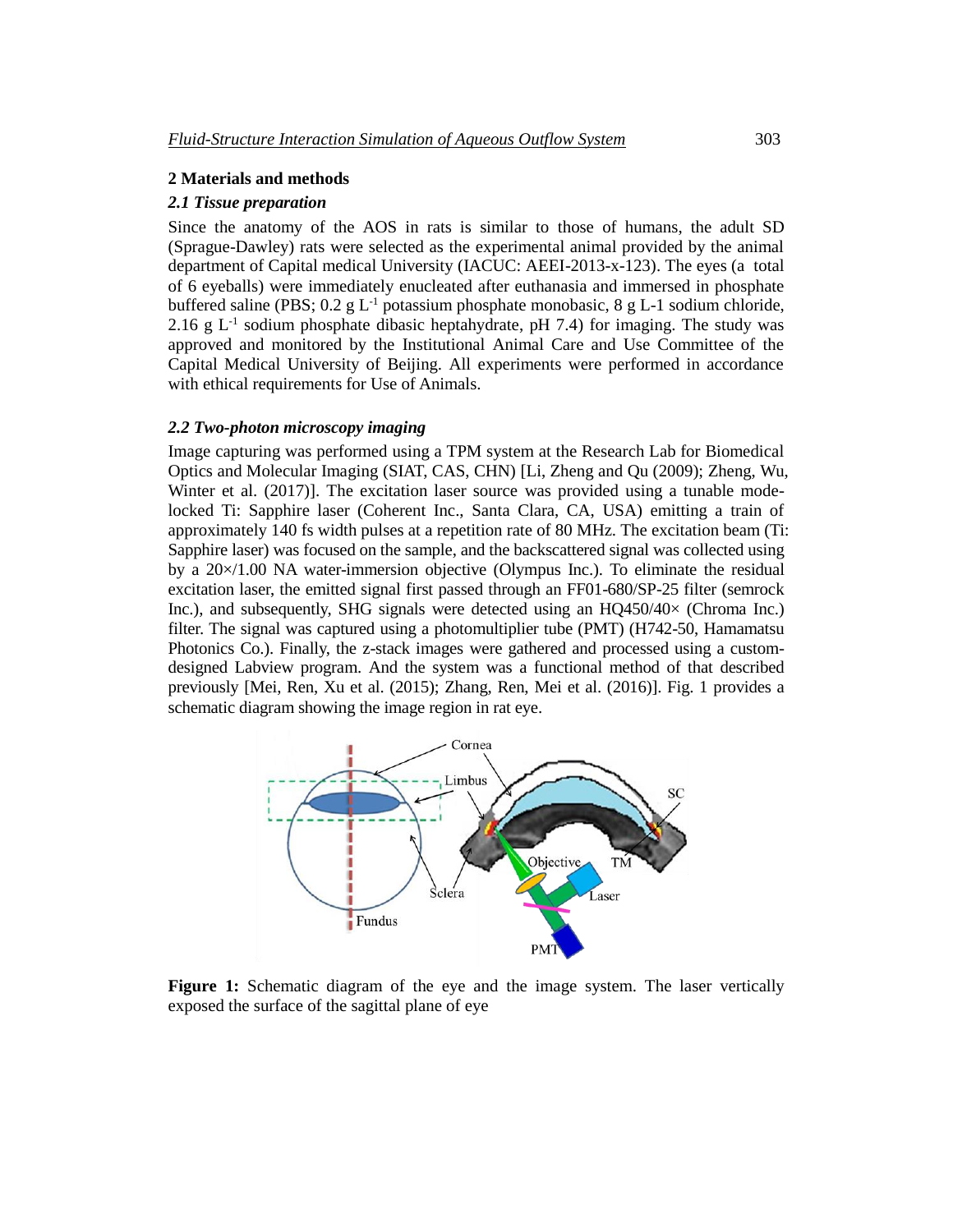# **2 Materials and methods**

#### *2.1 Tissue preparation*

Since the anatomy of the AOS in rats is similar to those of humans, the adult SD (Sprague-Dawley) rats were selected as the experimental animal provided by the animal department of Capital medical University (IACUC: AEEI-2013-x-123). The eyes (a total of 6 eyeballs) were immediately enucleated after euthanasia and immersed in phosphate buffered saline (PBS;  $0.2 \text{ g L}^{-1}$  potassium phosphate monobasic, 8 g L-1 sodium chloride, 2.16 g  $L^{-1}$  sodium phosphate dibasic heptahydrate, pH 7.4) for imaging. The study was approved and monitored by the Institutional Animal Care and Use Committee of the Capital Medical University of Beijing. All experiments were performed in accordance with ethical requirements for Use of Animals.

# *2.2 Two-photon microscopy imaging*

Image capturing was performed using a TPM system at the Research Lab for Biomedical Optics and Molecular Imaging (SIAT, CAS, CHN) [Li, Zheng and Qu (2009); Zheng, Wu, Winter et al. (2017)]. The excitation laser source was provided using a tunable modelocked Ti: Sapphire laser (Coherent Inc., Santa Clara, CA, USA) emitting a train of approximately 140 fs width pulses at a repetition rate of 80 MHz. The excitation beam (Ti: Sapphire laser) was focused on the sample, and the backscattered signal was collected using by a 20×/1.00 NA water-immersion objective (Olympus Inc.). To eliminate the residual excitation laser, the emitted signal first passed through an FF01-680/SP-25 filter (semrock Inc.), and subsequently, SHG signals were detected using an HQ450/40× (Chroma Inc.) filter. The signal was captured using a photomultiplier tube (PMT) (H742-50, Hamamatsu Photonics Co.). Finally, the z-stack images were gathered and processed using a customdesigned Labview program. And the system was a functional method of that described previously [Mei, Ren, Xu et al. (2015); Zhang, Ren, Mei et al. (2016)]. Fig. 1 provides a schematic diagram showing the image region in rat eye.



**Figure 1:** Schematic diagram of the eye and the image system. The laser vertically exposed the surface of the sagittal plane of eye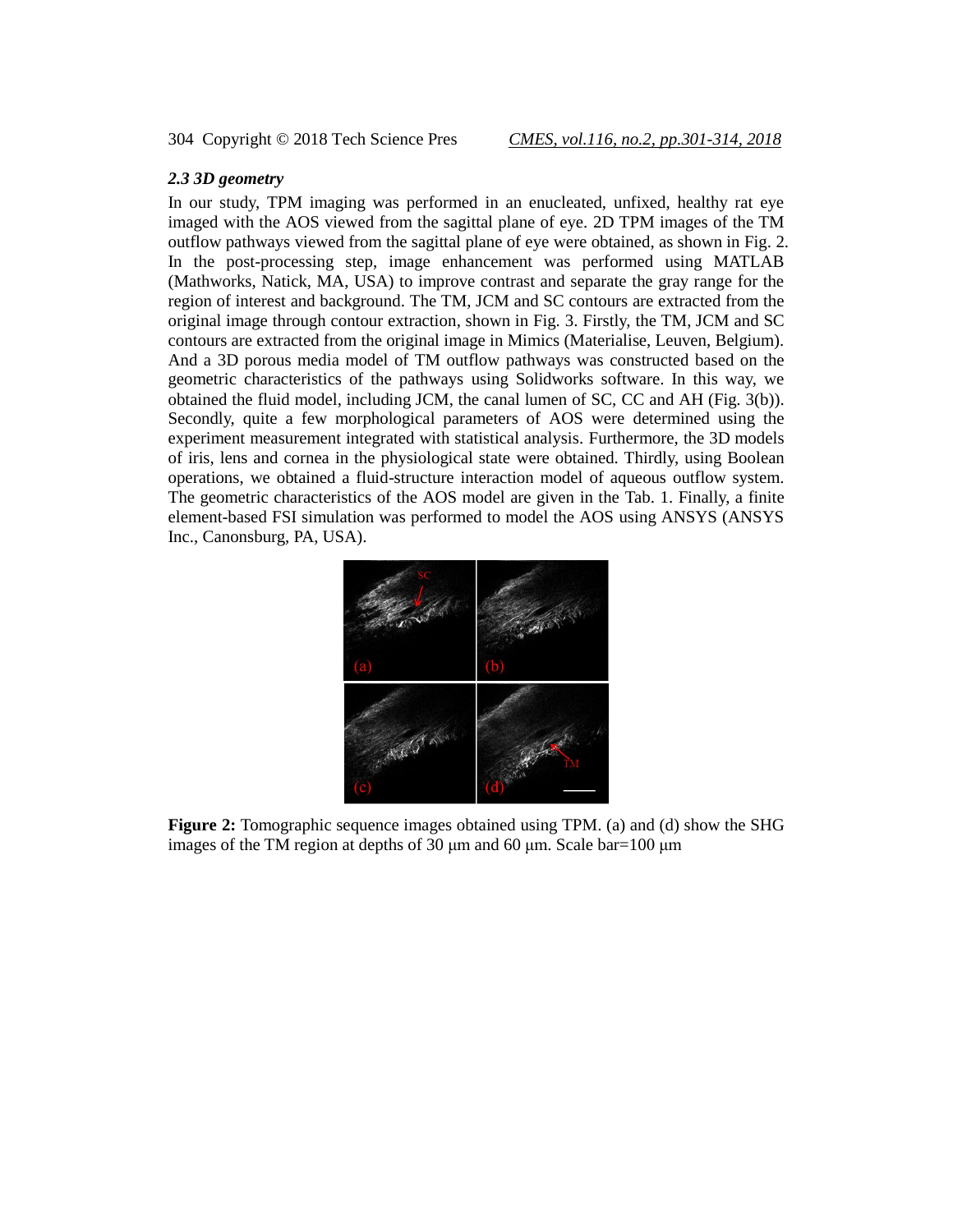# *2.3 3D geometry*

In our study, TPM imaging was performed in an enucleated, unfixed, healthy rat eye imaged with the AOS viewed from the sagittal plane of eye. 2D TPM images of the TM outflow pathways viewed from the sagittal plane of eye were obtained, as shown in Fig. 2. In the post-processing step, image enhancement was performed using MATLAB (Mathworks, Natick, MA, USA) to improve contrast and separate the gray range for the region of interest and background. The TM, JCM and SC contours are extracted from the original image through contour extraction, shown in Fig. 3. Firstly, the TM, JCM and SC contours are extracted from the original image in Mimics (Materialise, Leuven, Belgium). And a 3D porous media model of TM outflow pathways was constructed based on the geometric characteristics of the pathways using Solidworks software. In this way, we obtained the fluid model, including JCM, the canal lumen of SC, CC and AH (Fig. 3(b)). Secondly, quite a few morphological parameters of AOS were determined using the experiment measurement integrated with statistical analysis. Furthermore, the 3D models of iris, lens and cornea in the physiological state were obtained. Thirdly, using Boolean operations, we obtained a fluid-structure interaction model of aqueous outflow system. The geometric characteristics of the AOS model are given in the Tab. 1. Finally, a finite element-based FSI simulation was performed to model the AOS using ANSYS (ANSYS Inc., Canonsburg, PA, USA).



**Figure 2:** Tomographic sequence images obtained using TPM. (a) and (d) show the SHG images of the TM region at depths of 30 μm and 60 μm. Scale bar=100 μm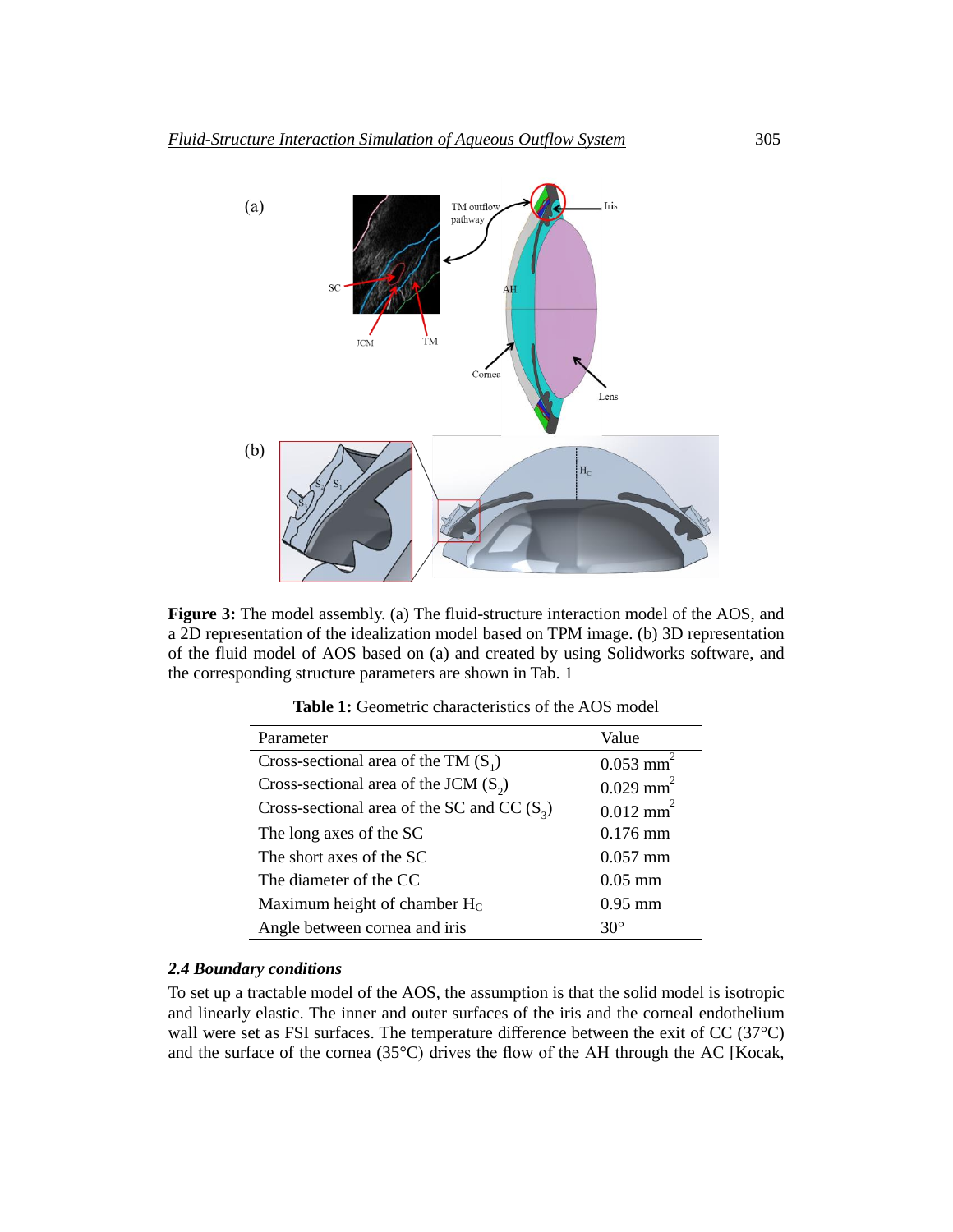

**Figure 3:** The model assembly. (a) The fluid-structure interaction model of the AOS, and a 2D representation of the idealization model based on TPM image. (b) 3D representation of the fluid model of AOS based on (a) and created by using Solidworks software, and the corresponding structure parameters are shown in Tab. 1

| Parameter                                     | Value                   |
|-----------------------------------------------|-------------------------|
| Cross-sectional area of the TM $(S_1)$        | $0.053$ mm <sup>2</sup> |
| Cross-sectional area of the JCM $(S_2)$       | $0.029$ mm <sup>2</sup> |
| Cross-sectional area of the SC and CC $(S_3)$ | $0.012$ mm <sup>2</sup> |
| The long axes of the SC                       | $0.176$ mm              |
| The short axes of the SC                      | $0.057$ mm              |
| The diameter of the CC                        | $0.05$ mm               |
| Maximum height of chamber Hc                  | $0.95$ mm               |
| Angle between cornea and iris                 | $30^\circ$              |

**Table 1:** Geometric characteristics of the AOS model

#### *2.4 Boundary conditions*

To set up a tractable model of the AOS, the assumption is that the solid model is isotropic and linearly elastic. The inner and outer surfaces of the iris and the corneal endothelium wall were set as FSI surfaces. The temperature difference between the exit of CC (37<sup>°</sup>C) and the surface of the cornea (35°C) drives the flow of the AH through the AC [Kocak,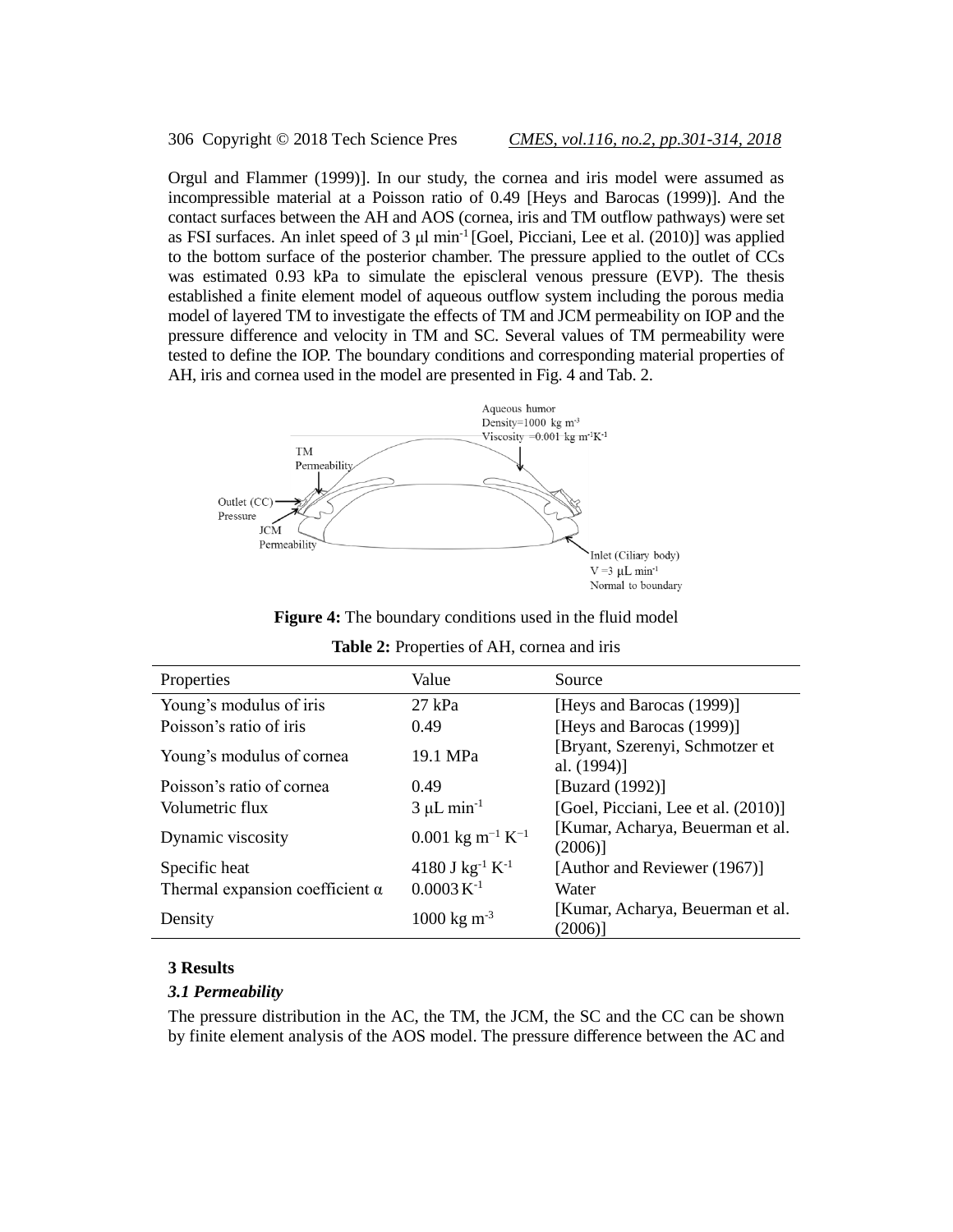306 Copyright © 2018 Tech Science Pres *CMES, vol.116, no.2, pp.301-314, 2018*

Orgul and Flammer (1999)]. In our study, the cornea and iris model were assumed as incompressible material at a Poisson ratio of 0.49 [Heys and Barocas (1999)]. And the contact surfaces between the AH and AOS (cornea, iris and TM outflow pathways) were set as FSI surfaces. An inlet speed of 3 μl min<sup>-1</sup> [Goel, Picciani, Lee et al. (2010)] was applied to the bottom surface of the posterior chamber. The pressure applied to the outlet of CCs was estimated 0.93 kPa to simulate the episcleral venous pressure (EVP). The thesis established a finite element model of aqueous outflow system including the porous media model of layered TM to investigate the effects of TM and JCM permeability on IOP and the pressure difference and velocity in TM and SC. Several values of TM permeability were tested to define the IOP. The boundary conditions and corresponding material properties of AH, iris and cornea used in the model are presented in Fig. 4 and Tab. 2.



**Figure 4:** The boundary conditions used in the fluid model

| Properties                             | Value                                    | Source                                         |
|----------------------------------------|------------------------------------------|------------------------------------------------|
| Young's modulus of iris                | $27$ kPa                                 | [Heys and Barocas (1999)]                      |
| Poisson's ratio of iris                | 0.49                                     | [Heys and Barocas (1999)]                      |
| Young's modulus of cornea              | 19.1 MPa                                 | [Bryant, Szerenyi, Schmotzer et<br>al. (1994)] |
| Poisson's ratio of cornea              | 0.49                                     | [Buzard (1992)]                                |
| Volumetric flux                        | $3 \mu L \text{ min}^{-1}$               | [Goel, Picciani, Lee et al. (2010)]            |
| Dynamic viscosity                      | $0.001 \text{ kg m}^{-1} \text{ K}^{-1}$ | [Kumar, Acharya, Beuerman et al.<br>(2006)     |
| Specific heat                          | 4180 J $kg^{-1} K^{-1}$                  | [Author and Reviewer (1967)]                   |
| Thermal expansion coefficient $\alpha$ | $0.0003 K^{-1}$                          | Water                                          |
| Density                                | $1000 \text{ kg m}^{-3}$                 | [Kumar, Acharya, Beuerman et al.<br>(2006)]    |

#### **3 Results**

#### *3.1 Permeability*

The pressure distribution in the AC, the TM, the JCM, the SC and the CC can be shown by finite element analysis of the AOS model. The pressure difference between the AC and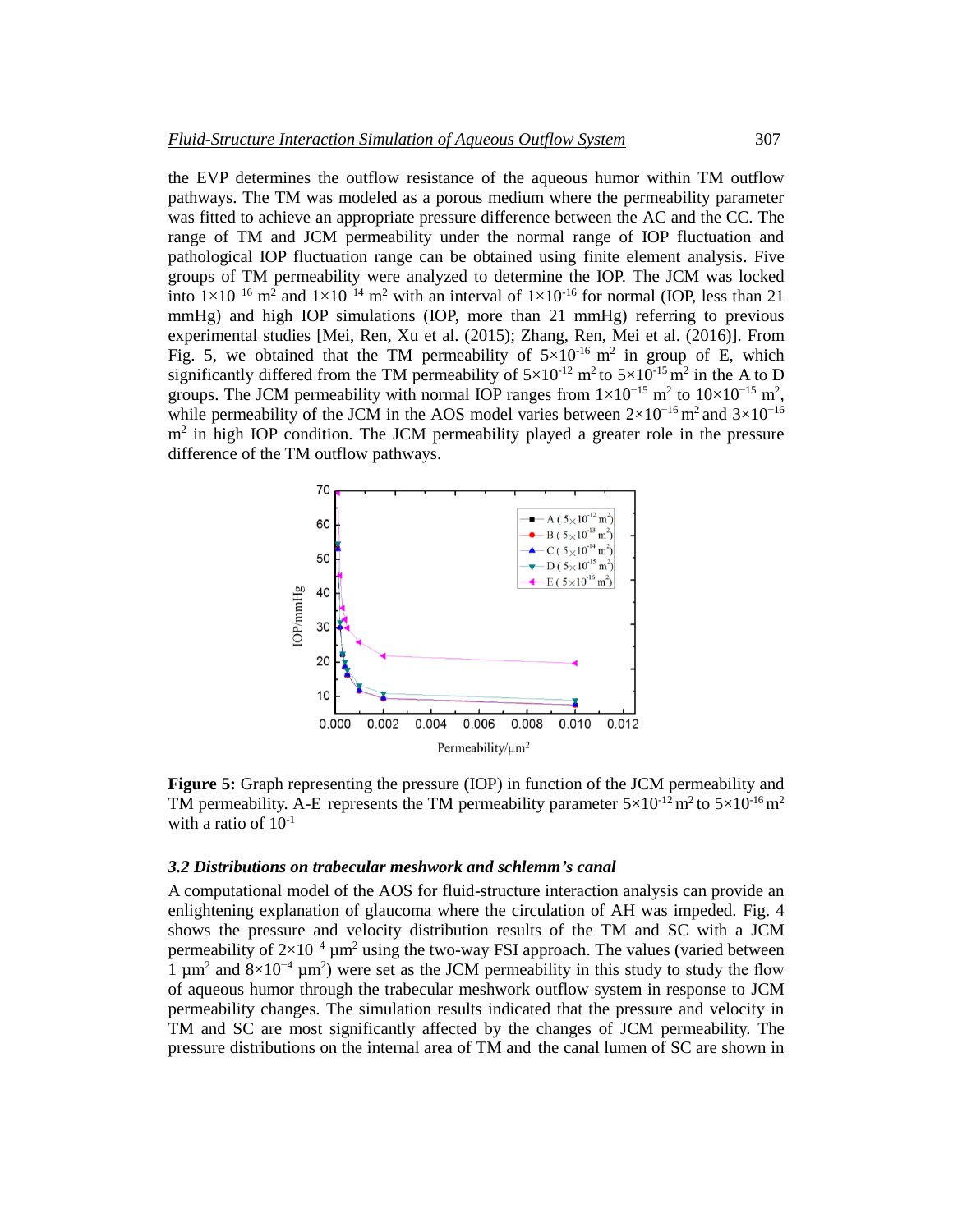the EVP determines the outflow resistance of the aqueous humor within TM outflow pathways. The TM was modeled as a porous medium where the permeability parameter was fitted to achieve an appropriate pressure difference between the AC and the CC. The range of TM and JCM permeability under the normal range of IOP fluctuation and pathological IOP fluctuation range can be obtained using finite element analysis. Five groups of TM permeability were analyzed to determine the IOP. The JCM was locked into  $1 \times 10^{-16}$  m<sup>2</sup> and  $1 \times 10^{-14}$  m<sup>2</sup> with an interval of  $1 \times 10^{-16}$  for normal (IOP, less than 21 mmHg) and high IOP simulations (IOP, more than 21 mmHg) referring to previous experimental studies [Mei, Ren, Xu et al. (2015); Zhang, Ren, Mei et al. (2016)]. From Fig. 5, we obtained that the TM permeability of  $5\times10^{-16}$  m<sup>2</sup> in group of E, which significantly differed from the TM permeability of  $5 \times 10^{-12}$  m<sup>2</sup> to  $5 \times 10^{-15}$  m<sup>2</sup> in the A to D groups. The JCM permeability with normal IOP ranges from  $1 \times 10^{-15}$  m<sup>2</sup> to  $10 \times 10^{-15}$  m<sup>2</sup>, while permeability of the JCM in the AOS model varies between  $2\times10^{-16}$  m<sup>2</sup> and  $3\times10^{-16}$ m<sup>2</sup> in high IOP condition. The JCM permeability played a greater role in the pressure difference of the TM outflow pathways.



**Figure 5:** Graph representing the pressure (IOP) in function of the JCM permeability and TM permeability. A-E represents the TM permeability parameter  $5\times10^{-12}$  m<sup>2</sup> to  $5\times10^{-16}$  m<sup>2</sup> with a ratio of  $10^{-1}$ 

#### *3.2 Distributions on trabecular meshwork and schlemm's canal*

A computational model of the AOS for fluid-structure interaction analysis can provide an enlightening explanation of glaucoma where the circulation of AH was impeded. Fig. 4 shows the pressure and velocity distribution results of the TM and SC with a JCM permeability of  $2\times10^{-4}$  µm<sup>2</sup> using the two-way FSI approach. The values (varied between 1  $\mu$ m<sup>2</sup> and 8×10<sup>-4</sup>  $\mu$ m<sup>2</sup>) were set as the JCM permeability in this study to study the flow of aqueous humor through the trabecular meshwork outflow system in response to JCM permeability changes. The simulation results indicated that the pressure and velocity in TM and SC are most significantly affected by the changes of JCM permeability. The pressure distributions on the internal area of TM and the canal lumen of SC are shown in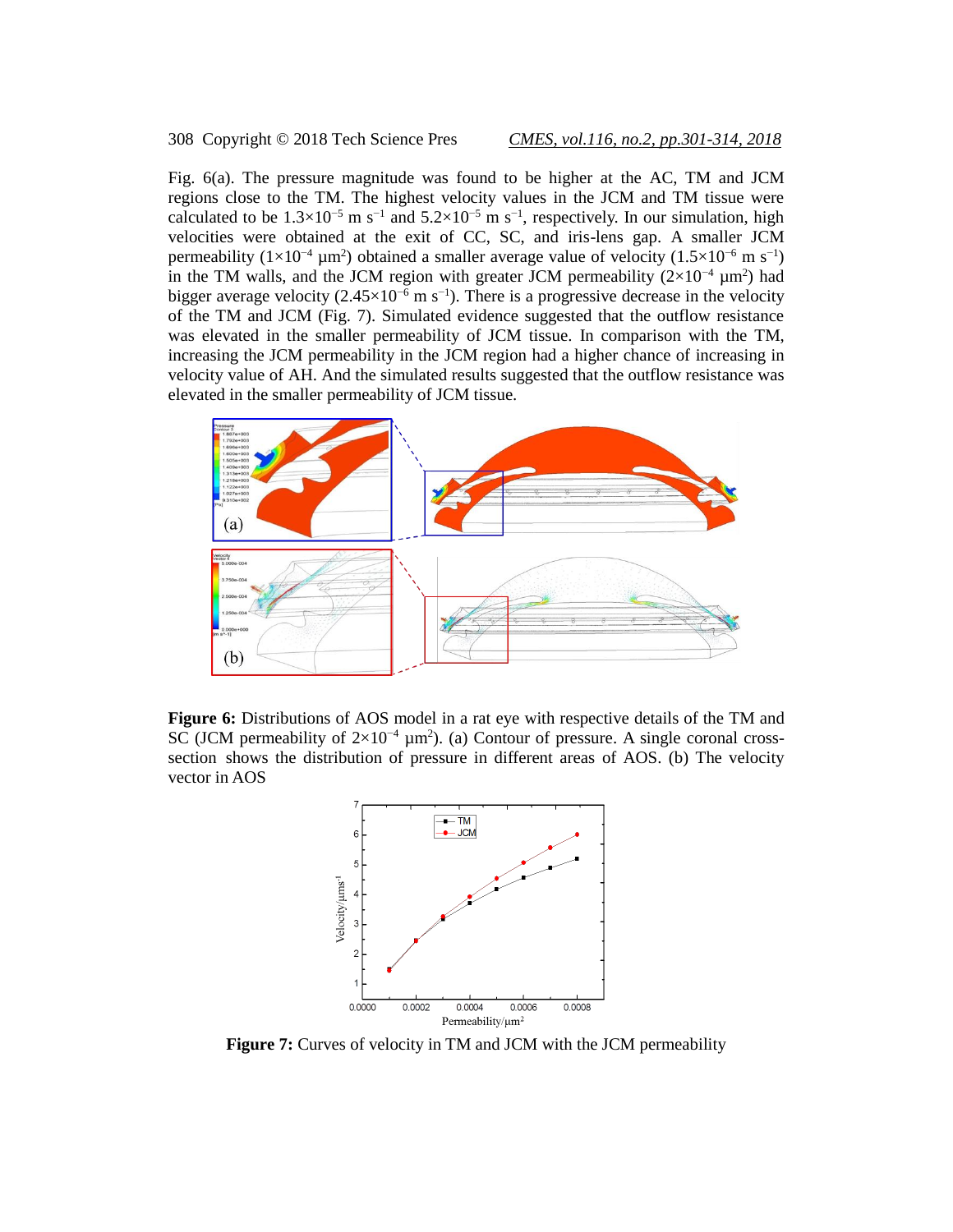# 308 Copyright © 2018 Tech Science Pres *CMES, vol.116, no.2, pp.301-314, 2018*

Fig. 6(a). The pressure magnitude was found to be higher at the AC, TM and JCM regions close to the TM. The highest velocity values in the JCM and TM tissue were calculated to be  $1.3 \times 10^{-5}$  m s<sup>-1</sup> and  $5.2 \times 10^{-5}$  m s<sup>-1</sup>, respectively. In our simulation, high velocities were obtained at the exit of CC, SC, and iris-lens gap. A smaller JCM permeability ( $1 \times 10^{-4}$  µm<sup>2</sup>) obtained a smaller average value of velocity ( $1.5 \times 10^{-6}$  m s<sup>-1</sup>) in the TM walls, and the JCM region with greater JCM permeability  $(2\times10^{-4} \mu m^2)$  had bigger average velocity (2.45×10<sup>-6</sup> m s<sup>-1</sup>). There is a progressive decrease in the velocity of the TM and JCM (Fig. 7). Simulated evidence suggested that the outflow resistance was elevated in the smaller permeability of JCM tissue. In comparison with the TM, increasing the JCM permeability in the JCM region had a higher chance of increasing in velocity value of AH. And the simulated results suggested that the outflow resistance was elevated in the smaller permeability of JCM tissue.



**Figure 6:** Distributions of AOS model in a rat eye with respective details of the TM and SC (JCM permeability of  $2\times10^{-4}$  µm<sup>2</sup>). (a) Contour of pressure. A single coronal crosssection shows the distribution of pressure in different areas of AOS. (b) The velocity vector in AOS



**Figure 7:** Curves of velocity in TM and JCM with the JCM permeability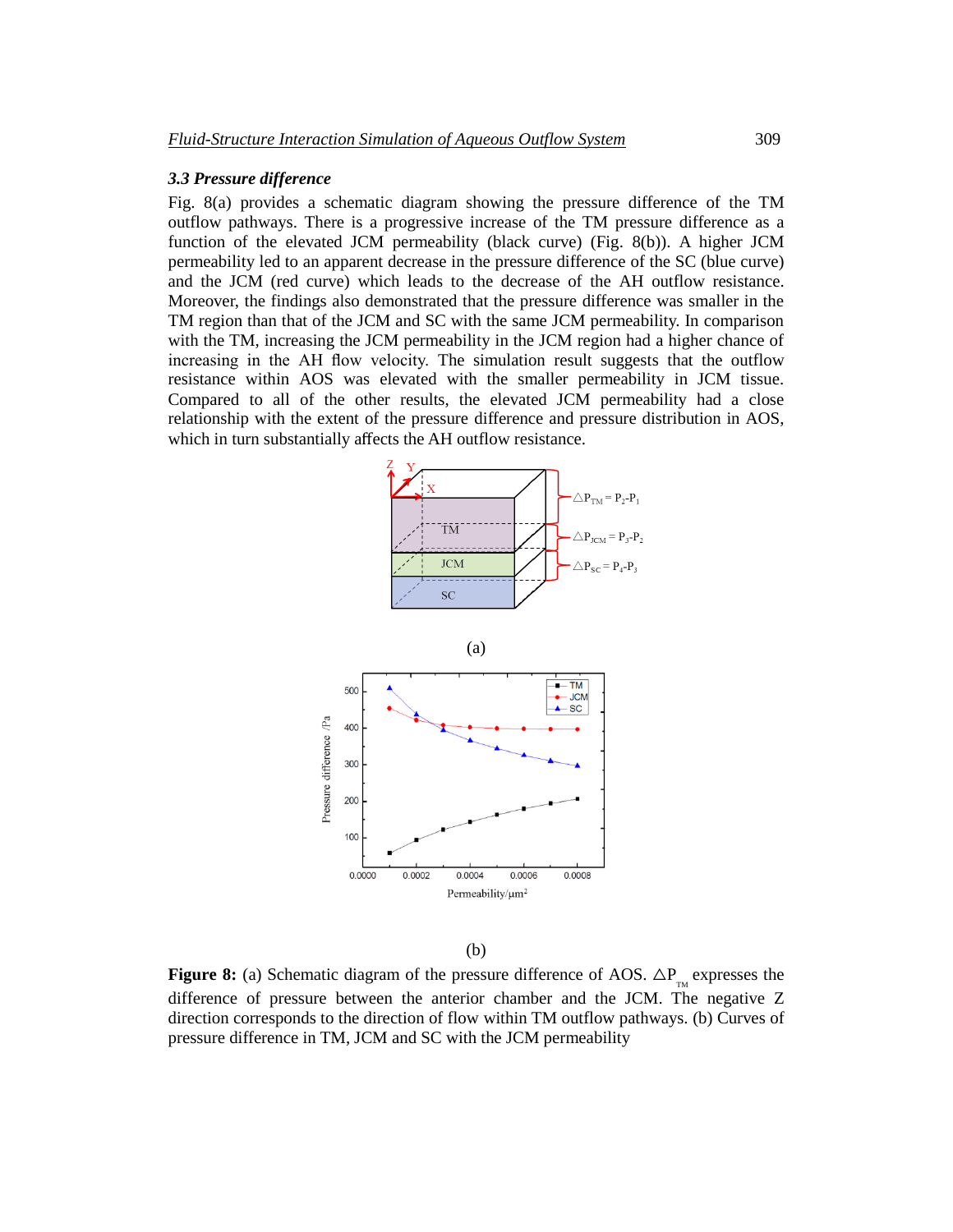# *3.3 Pressure difference*

Fig. 8(a) provides a schematic diagram showing the pressure difference of the TM outflow pathways. There is a progressive increase of the TM pressure difference as a function of the elevated JCM permeability (black curve) (Fig. 8(b)). A higher JCM permeability led to an apparent decrease in the pressure difference of the SC (blue curve) and the JCM (red curve) which leads to the decrease of the AH outflow resistance. Moreover, the findings also demonstrated that the pressure difference was smaller in the TM region than that of the JCM and SC with the same JCM permeability. In comparison with the TM, increasing the JCM permeability in the JCM region had a higher chance of increasing in the AH flow velocity. The simulation result suggests that the outflow resistance within AOS was elevated with the smaller permeability in JCM tissue. Compared to all of the other results, the elevated JCM permeability had a close relationship with the extent of the pressure difference and pressure distribution in AOS, which in turn substantially affects the AH outflow resistance.



(b)

**Figure 8:** (a) Schematic diagram of the pressure difference of AOS.  $\Delta P_{T_M}$  expresses the difference of pressure between the anterior chamber and the JCM. The negative Z direction corresponds to the direction of flow within TM outflow pathways. (b) Curves of pressure difference in TM, JCM and SC with the JCM permeability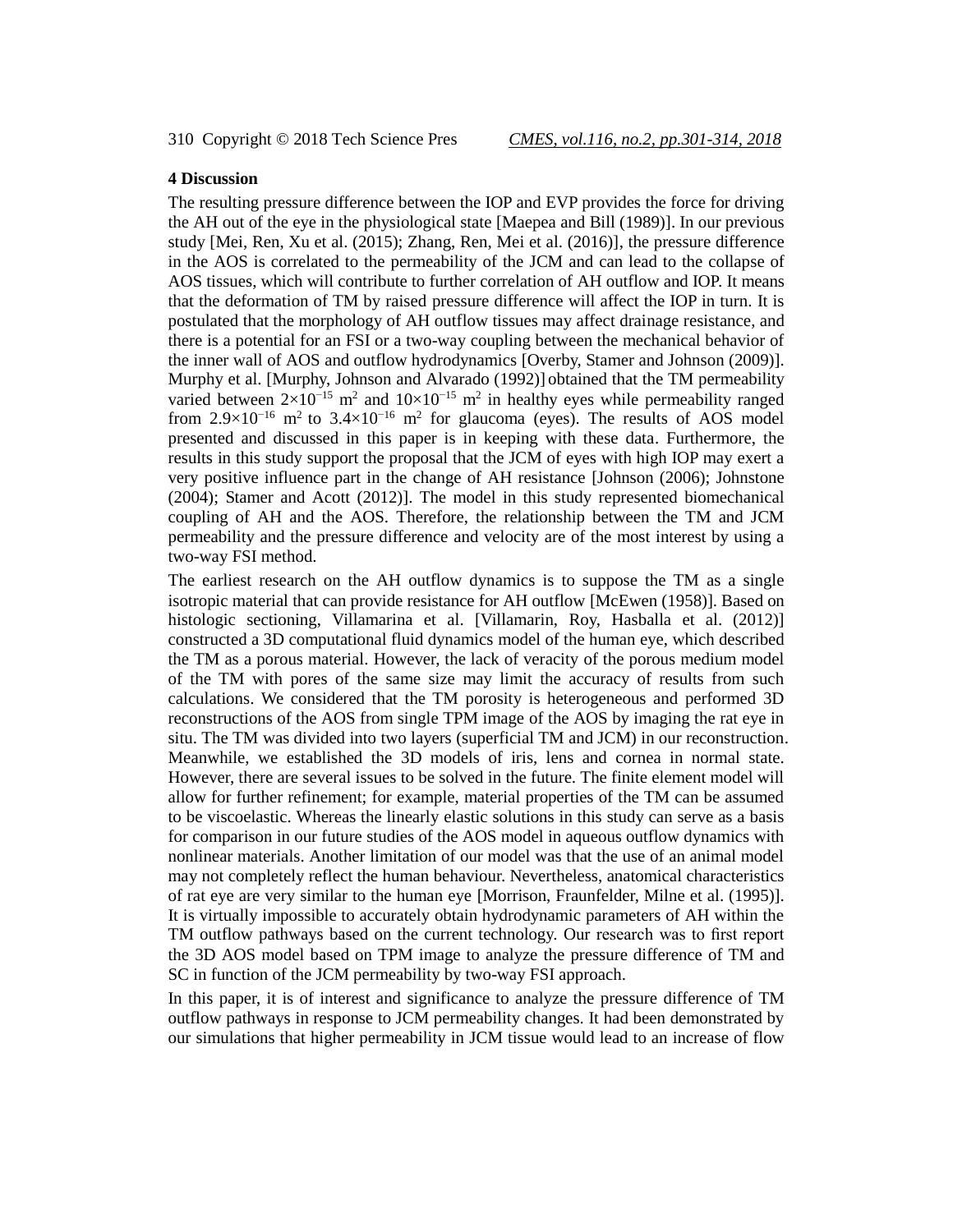# **4 Discussion**

The resulting pressure difference between the IOP and EVP provides the force for driving the AH out of the eye in the physiological state [Maepea and Bill (1989)]. In our previous study [Mei, Ren, Xu et al. (2015); Zhang, Ren, Mei et al. (2016)], the pressure difference in the AOS is correlated to the permeability of the JCM and can lead to the collapse of AOS tissues, which will contribute to further correlation of AH outflow and IOP. It means that the deformation of TM by raised pressure difference will affect the IOP in turn. It is postulated that the morphology of AH outflow tissues may affect drainage resistance, and there is a potential for an FSI or a two-way coupling between the mechanical behavior of the inner wall of AOS and outflow hydrodynamics [Overby, Stamer and Johnson (2009)]. Murphy et al. [Murphy, Johnson and Alvarado (1992)] obtained that the TM permeability varied between  $2\times10^{-15}$  m<sup>2</sup> and  $10\times10^{-15}$  m<sup>2</sup> in healthy eyes while permeability ranged from 2.9×10<sup>-16</sup> m<sup>2</sup> to 3.4×10<sup>-16</sup> m<sup>2</sup> for glaucoma (eyes). The results of AOS model presented and discussed in this paper is in keeping with these data. Furthermore, the results in this study support the proposal that the JCM of eyes with high IOP may exert a very positive influence part in the change of AH resistance [Johnson (2006); Johnstone (2004); Stamer and Acott (2012)]. The model in this study represented biomechanical coupling of AH and the AOS. Therefore, the relationship between the TM and JCM permeability and the pressure difference and velocity are of the most interest by using a two-way FSI method.

The earliest research on the AH outflow dynamics is to suppose the TM as a single isotropic material that can provide resistance for AH outflow [McEwen (1958)]. Based on histologic sectioning, Villamarina et al. [Villamarin, Roy, Hasballa et al. (2012)] constructed a 3D computational fluid dynamics model of the human eye, which described the TM as a porous material. However, the lack of veracity of the porous medium model of the TM with pores of the same size may limit the accuracy of results from such calculations. We considered that the TM porosity is heterogeneous and performed 3D reconstructions of the AOS from single TPM image of the AOS by imaging the rat eye in situ. The TM was divided into two layers (superficial TM and JCM) in our reconstruction. Meanwhile, we established the 3D models of iris, lens and cornea in normal state. However, there are several issues to be solved in the future. The finite element model will allow for further refinement; for example, material properties of the TM can be assumed to be viscoelastic. Whereas the linearly elastic solutions in this study can serve as a basis for comparison in our future studies of the AOS model in aqueous outflow dynamics with nonlinear materials. Another limitation of our model was that the use of an animal model may not completely reflect the human behaviour. Nevertheless, anatomical characteristics of rat eye are very similar to the human eye [Morrison, Fraunfelder, Milne et al. (1995)]. It is virtually impossible to accurately obtain hydrodynamic parameters of AH within the TM outflow pathways based on the current technology. Our research was to first report the 3D AOS model based on TPM image to analyze the pressure difference of TM and SC in function of the JCM permeability by two-way FSI approach.

In this paper, it is of interest and significance to analyze the pressure difference of TM outflow pathways in response to JCM permeability changes. It had been demonstrated by our simulations that higher permeability in JCM tissue would lead to an increase of flow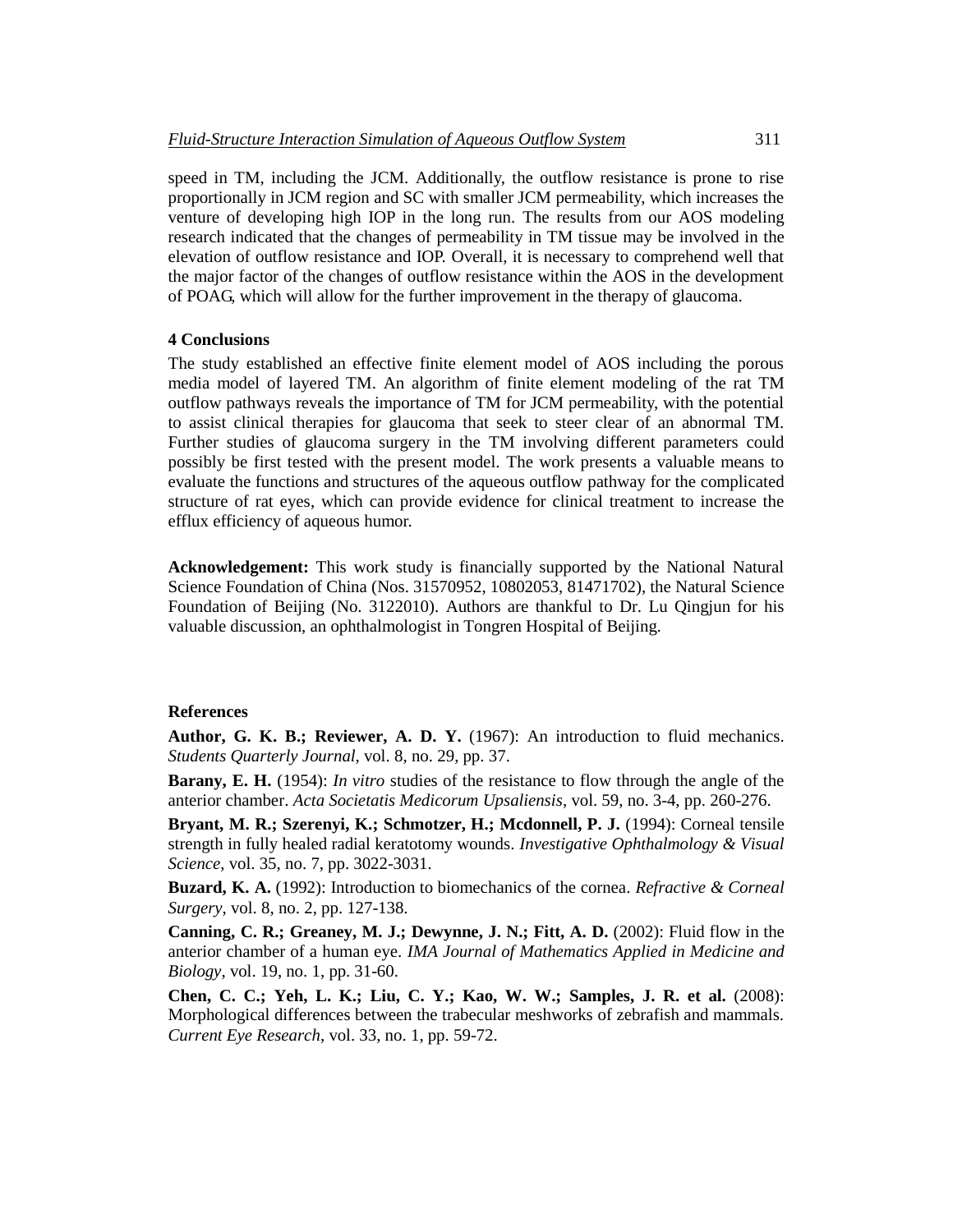speed in TM, including the JCM. Additionally, the outflow resistance is prone to rise proportionally in JCM region and SC with smaller JCM permeability, which increases the venture of developing high IOP in the long run. The results from our AOS modeling research indicated that the changes of permeability in TM tissue may be involved in the elevation of outflow resistance and IOP. Overall, it is necessary to comprehend well that the major factor of the changes of outflow resistance within the AOS in the development of POAG, which will allow for the further improvement in the therapy of glaucoma.

#### **4 Conclusions**

The study established an effective finite element model of AOS including the porous media model of layered TM. An algorithm of finite element modeling of the rat TM outflow pathways reveals the importance of TM for JCM permeability, with the potential to assist clinical therapies for glaucoma that seek to steer clear of an abnormal TM. Further studies of glaucoma surgery in the TM involving different parameters could possibly be first tested with the present model. The work presents a valuable means to evaluate the functions and structures of the aqueous outflow pathway for the complicated structure of rat eyes, which can provide evidence for clinical treatment to increase the efflux efficiency of aqueous humor.

**Acknowledgement:** This work study is financially supported by the National Natural Science Foundation of China (Nos. 31570952, 10802053, 81471702), the Natural Science Foundation of Beijing (No. 3122010). Authors are thankful to Dr. Lu Qingjun for his valuable discussion, an ophthalmologist in Tongren Hospital of Beijing.

### **References**

**Author, G. K. B.; Reviewer, A. D. Y.** (1967): An introduction to fluid mechanics. *Students Quarterly Journal*, vol. 8, no. 29, pp. 37.

**Barany, E. H.** (1954): *In vitro* studies of the resistance to flow through the angle of the anterior chamber. *Acta Societatis Medicorum Upsaliensis*, vol. 59, no. 3-4, pp. 260-276.

**Bryant, M. R.; Szerenyi, K.; Schmotzer, H.; Mcdonnell, P. J.** (1994): Corneal tensile strength in fully healed radial keratotomy wounds. *Investigative Ophthalmology & Visual Science*, vol. 35, no. 7, pp. 3022-3031.

**Buzard, K. A.** (1992): Introduction to biomechanics of the cornea. *Refractive & Corneal Surgery*, vol. 8, no. 2, pp. 127-138.

**Canning, C. R.; Greaney, M. J.; Dewynne, J. N.; Fitt, A. D.** (2002): Fluid flow in the anterior chamber of a human eye. *IMA Journal of Mathematics Applied in Medicine and Biology*, vol. 19, no. 1, pp. 31-60.

**Chen, C. C.; Yeh, L. K.; Liu, C. Y.; Kao, W. W.; Samples, J. R. et al.** (2008): Morphological differences between the trabecular meshworks of zebrafish and mammals. *Current Eye Research*, vol. 33, no. 1, pp. 59-72.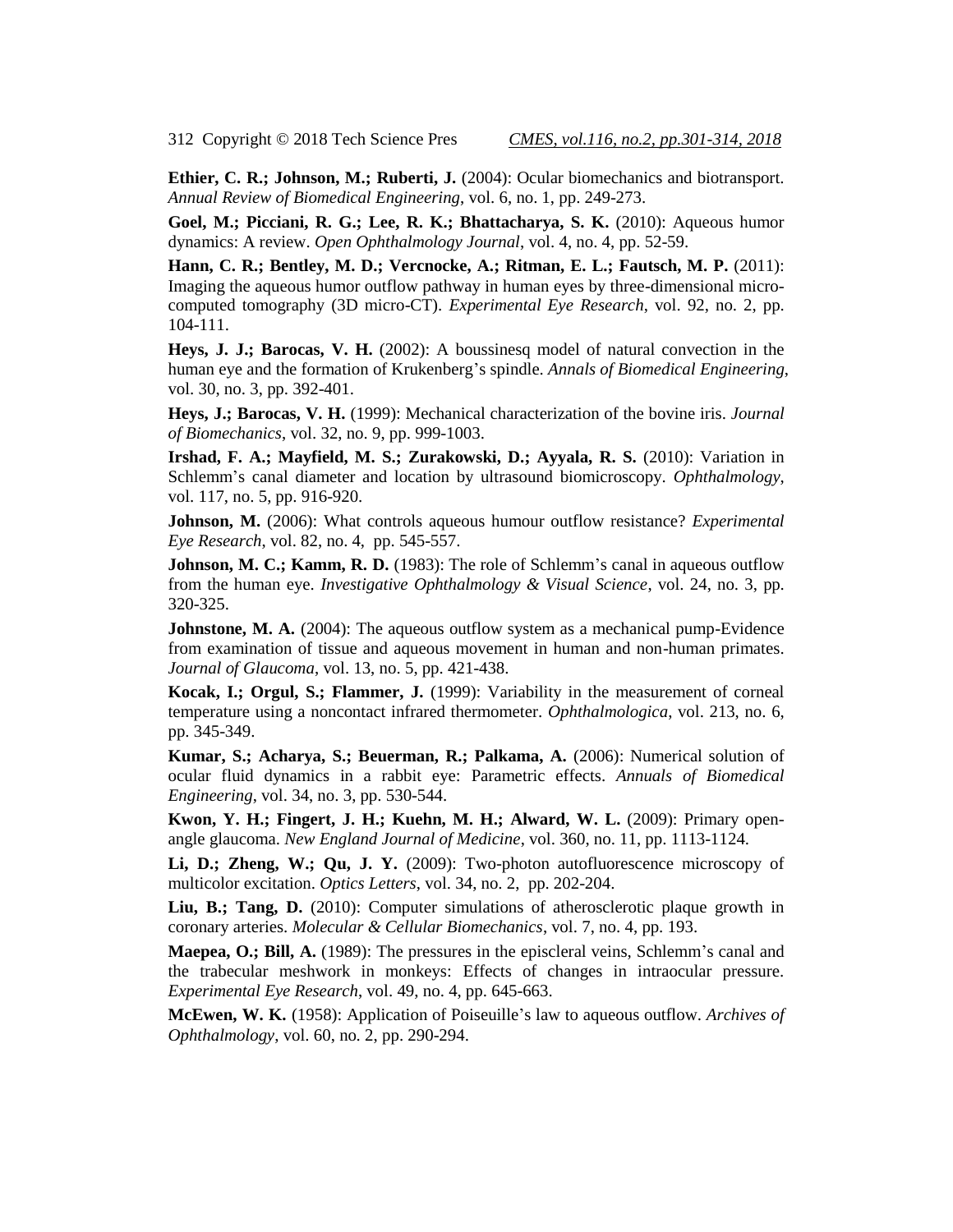**Ethier, C. R.; Johnson, M.; Ruberti, J.** (2004): Ocular biomechanics and biotransport. *Annual Review of Biomedical Engineering*, vol. 6, no. 1, pp. 249-273.

**Goel, M.; Picciani, R. G.; Lee, R. K.; Bhattacharya, S. K.** (2010): Aqueous humor dynamics: A review. *Open Ophthalmology Journal*, vol. 4, no. 4, pp. 52-59.

**Hann, C. R.; Bentley, M. D.; Vercnocke, A.; Ritman, E. L.; Fautsch, M. P.** (2011): Imaging the aqueous humor outflow pathway in human eyes by three-dimensional microcomputed tomography (3D micro-CT). *Experimental Eye Research*, vol. 92, no. 2, pp. 104-111.

**Heys, J. J.; Barocas, V. H.** (2002): A boussinesq model of natural convection in the human eye and the formation of Krukenberg's spindle. *Annals of Biomedical Engineering*, vol. 30, no. 3, pp. 392-401.

**Heys, J.; Barocas, V. H.** (1999): Mechanical characterization of the bovine iris. *Journal of Biomechanics*, vol. 32, no. 9, pp. 999-1003.

**Irshad, F. A.; Mayfield, M. S.; Zurakowski, D.; Ayyala, R. S.** (2010): Variation in Schlemm's canal diameter and location by ultrasound biomicroscopy. *Ophthalmology*, vol. 117, no. 5, pp. 916-920.

**Johnson, M.** (2006): What controls aqueous humour outflow resistance? *Experimental Eye Research*, vol. 82, no. 4, pp. 545-557.

**Johnson, M. C.; Kamm, R. D.** (1983): The role of Schlemm's canal in aqueous outflow from the human eye. *Investigative Ophthalmology & Visual Science*, vol. 24, no. 3, pp. 320-325.

**Johnstone, M. A.** (2004): The aqueous outflow system as a mechanical pump-Evidence from examination of tissue and aqueous movement in human and non-human primates. *Journal of Glaucoma*, vol. 13, no. 5, pp. 421-438.

**Kocak, I.; Orgul, S.; Flammer, J.** (1999): Variability in the measurement of corneal temperature using a noncontact infrared thermometer. *Ophthalmologica*, vol. 213, no. 6, pp. 345-349.

**Kumar, S.; Acharya, S.; Beuerman, R.; Palkama, A.** (2006): Numerical solution of ocular fluid dynamics in a rabbit eye: Parametric effects. *Annuals of Biomedical Engineering*, vol. 34, no. 3, pp. 530-544.

**Kwon, Y. H.; Fingert, J. H.; Kuehn, M. H.; Alward, W. L.** (2009): Primary openangle glaucoma. *New England Journal of Medicine*, vol. 360, no. 11, pp. 1113-1124.

**Li, D.; Zheng, W.; Qu, J. Y.** (2009): Two-photon autofluorescence microscopy of multicolor excitation. *Optics Letters*, vol. 34, no. 2, pp. 202-204.

**Liu, B.; Tang, D.** (2010): Computer simulations of atherosclerotic plaque growth in coronary arteries. *Molecular & Cellular Biomechanics*, vol. 7, no. 4, pp. 193.

**Maepea, O.; Bill, A.** (1989): The pressures in the episcleral veins, Schlemm's canal and the trabecular meshwork in monkeys: Effects of changes in intraocular pressure. *Experimental Eye Research*, vol. 49, no. 4, pp. 645-663.

**McEwen, W. K.** (1958): Application of Poiseuille's law to aqueous outflow. *Archives of Ophthalmology*, vol. 60, no. 2, pp. 290-294.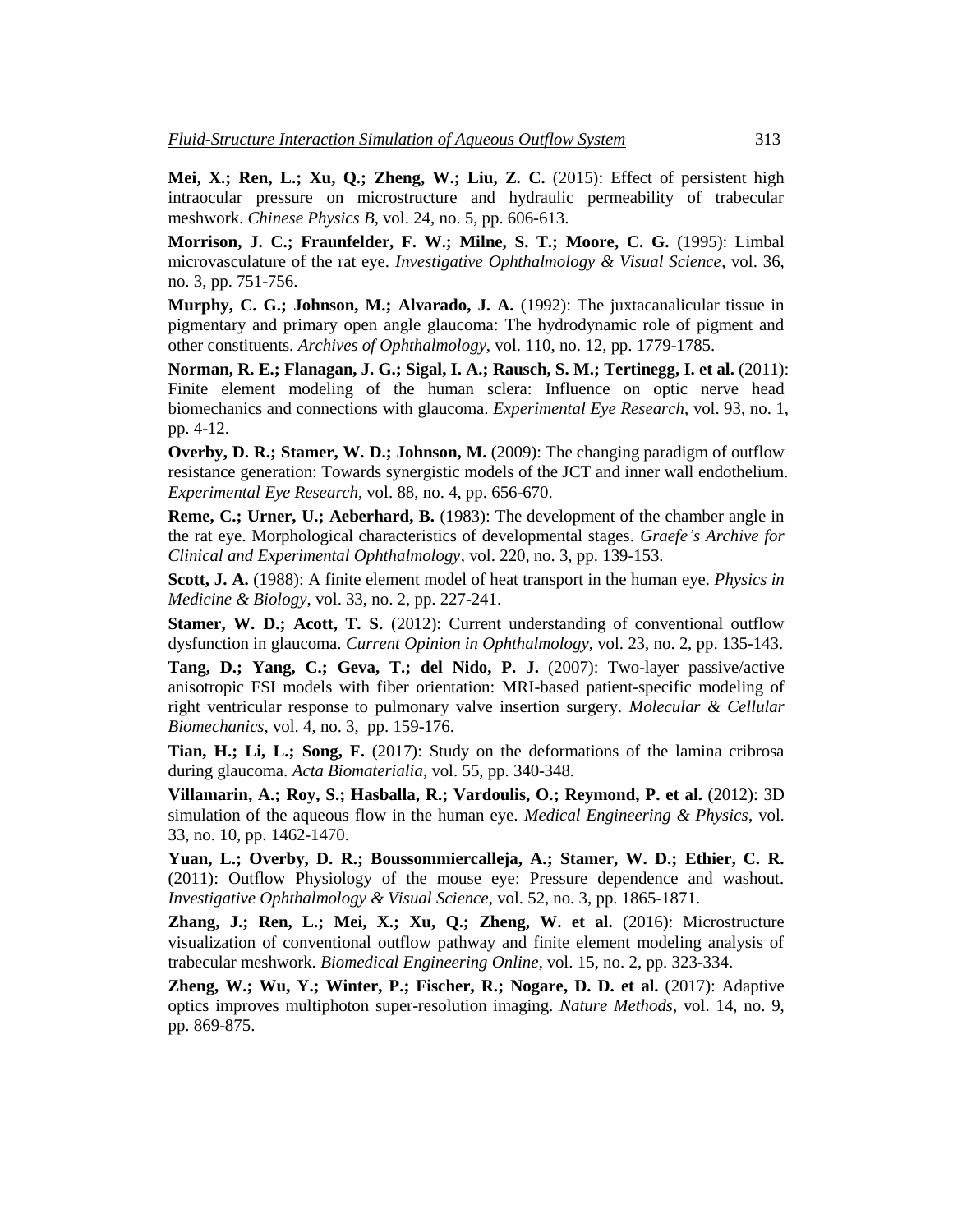**Mei, X.; Ren, L.; Xu, Q.; Zheng, W.; Liu, Z. C.** (2015): Effect of persistent high intraocular pressure on microstructure and hydraulic permeability of trabecular meshwork. *Chinese Physics B*, vol. 24, no. 5, pp. 606-613.

**Morrison, J. C.; Fraunfelder, F. W.; Milne, S. T.; Moore, C. G.** (1995): Limbal microvasculature of the rat eye. *Investigative Ophthalmology & Visual Science*, vol. 36, no. 3, pp. 751-756.

**Murphy, C. G.; Johnson, M.; Alvarado, J. A.** (1992): The juxtacanalicular tissue in pigmentary and primary open angle glaucoma: The hydrodynamic role of pigment and other constituents. *Archives of Ophthalmology*, vol. 110, no. 12, pp. 1779-1785.

**Norman, R. E.; Flanagan, J. G.; Sigal, I. A.; Rausch, S. M.; Tertinegg, I. et al.** (2011): Finite element modeling of the human sclera: Influence on optic nerve head biomechanics and connections with glaucoma. *Experimental Eye Research*, vol. 93, no. 1, pp. 4-12.

**Overby, D. R.; Stamer, W. D.; Johnson, M.** (2009): The changing paradigm of outflow resistance generation: Towards synergistic models of the JCT and inner wall endothelium. *Experimental Eye Research*, vol. 88, no. 4, pp. 656-670.

**Reme, C.; Urner, U.; Aeberhard, B.** (1983): The development of the chamber angle in the rat eye. Morphological characteristics of developmental stages. *Graefe's Archive for Clinical and Experimental Ophthalmology*, vol. 220, no. 3, pp. 139-153.

**Scott, J. A.** (1988): A finite element model of heat transport in the human eye. *Physics in Medicine & Biology*, vol. 33, no. 2, pp. 227-241.

**Stamer, W. D.; Acott, T. S.** (2012): Current understanding of conventional outflow dysfunction in glaucoma. *Current Opinion in Ophthalmology*, vol. 23, no. 2, pp. 135-143.

**Tang, D.; Yang, C.; Geva, T.; del Nido, P. J.** (2007): Two-layer passive/active anisotropic FSI models with fiber orientation: MRI-based patient-specific modeling of right ventricular response to pulmonary valve insertion surgery. *Molecular & Cellular Biomechanics*, vol. 4, no. 3, pp. 159-176.

**Tian, H.; Li, L.; Song, F.** (2017): Study on the deformations of the lamina cribrosa during glaucoma. *Acta Biomaterialia*, vol. 55, pp. 340-348.

**Villamarin, A.; Roy, S.; Hasballa, R.; Vardoulis, O.; Reymond, P. et al.** (2012): 3D simulation of the aqueous flow in the human eye. *Medical Engineering & Physics*, vol. 33, no. 10, pp. 1462-1470.

**Yuan, L.; Overby, D. R.; Boussommiercalleja, A.; Stamer, W. D.; Ethier, C. R.**  (2011): Outflow Physiology of the mouse eye: Pressure dependence and washout. *Investigative Ophthalmology & Visual Science*, vol. 52, no. 3, pp. 1865-1871.

**Zhang, J.; Ren, L.; Mei, X.; Xu, Q.; Zheng, W. et al.** (2016): Microstructure visualization of conventional outflow pathway and finite element modeling analysis of trabecular meshwork. *Biomedical Engineering Online*, vol. 15, no. 2, pp. 323-334.

**Zheng, W.; Wu, Y.; Winter, P.; Fischer, R.; Nogare, D. D. et al.** (2017): Adaptive optics improves multiphoton super-resolution imaging. *Nature Methods*, vol. 14, no. 9, pp. 869-875.